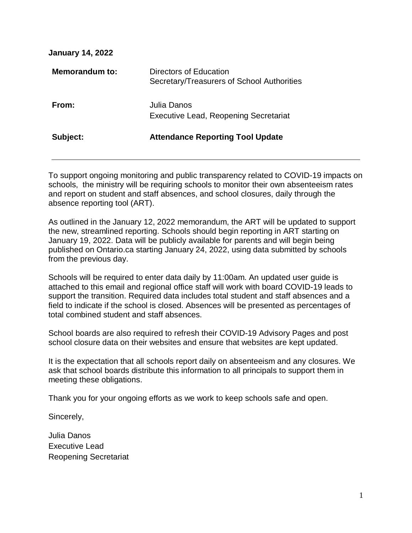**January 14, 2022 Memorandum to:** Directors of Education Secretary/Treasurers of School Authorities **From:** Julia Danos Executive Lead, Reopening Secretariat **Subject: Attendance Reporting Tool Update**

To support ongoing monitoring and public transparency related to COVID-19 impacts on schools, the ministry will be requiring schools to monitor their own absenteeism rates and report on student and staff absences, and school closures, daily through the absence reporting tool (ART).

As outlined in the January 12, 2022 memorandum, the ART will be updated to support the new, streamlined reporting. Schools should begin reporting in ART starting on January 19, 2022. Data will be publicly available for parents and will begin being published on Ontario.ca starting January 24, 2022, using data submitted by schools from the previous day.

Schools will be required to enter data daily by 11:00am. An updated user guide is attached to this email and regional office staff will work with board COVID-19 leads to support the transition. Required data includes total student and staff absences and a field to indicate if the school is closed. Absences will be presented as percentages of total combined student and staff absences.

School boards are also required to refresh their COVID-19 Advisory Pages and post school closure data on their websites and ensure that websites are kept updated.

It is the expectation that all schools report daily on absenteeism and any closures. We ask that school boards distribute this information to all principals to support them in meeting these obligations.

Thank you for your ongoing efforts as we work to keep schools safe and open.

Sincerely,

Julia Danos Executive Lead Reopening Secretariat